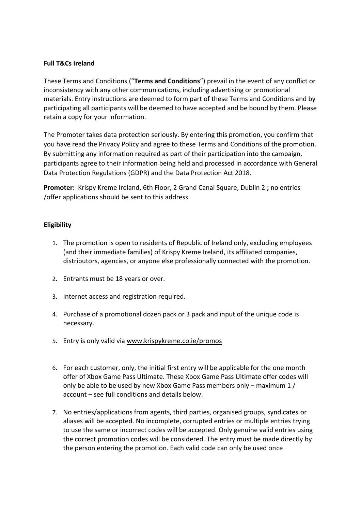# **Full T&Cs Ireland**

These Terms and Conditions ("**Terms and Conditions**") prevail in the event of any conflict or inconsistency with any other communications, including advertising or promotional materials. Entry instructions are deemed to form part of these Terms and Conditions and by participating all participants will be deemed to have accepted and be bound by them. Please retain a copy for your information.

The Promoter takes data protection seriously. By entering this promotion, you confirm that you have read the Privacy Policy and agree to these Terms and Conditions of the promotion. By submitting any information required as part of their participation into the campaign, participants agree to their information being held and processed in accordance with General Data Protection Regulations (GDPR) and the Data Protection Act 2018.

**Promoter:** Krispy Kreme Ireland, 6th Floor, 2 Grand Canal Square, Dublin 2 **;** no entries /offer applications should be sent to this address.

# **Eligibility**

- 1. The promotion is open to residents of Republic of Ireland only, excluding employees (and their immediate families) of Krispy Kreme Ireland, its affiliated companies, distributors, agencies, or anyone else professionally connected with the promotion.
- 2. Entrants must be 18 years or over.
- 3. Internet access and registration required.
- 4. Purchase of a promotional dozen pack or 3 pack and input of the unique code is necessary.
- 5. Entry is only valid vi[a www.krispykreme.co.ie/promos](http://www.krispykreme.co.ie/promos)
- 6. For each customer, only, the initial first entry will be applicable for the one month offer of Xbox Game Pass Ultimate. These Xbox Game Pass Ultimate offer codes will only be able to be used by new Xbox Game Pass members only – maximum 1 / account – see full conditions and details below.
- 7. No entries/applications from agents, third parties, organised groups, syndicates or aliases will be accepted. No incomplete, corrupted entries or multiple entries trying to use the same or incorrect codes will be accepted. Only genuine valid entries using the correct promotion codes will be considered. The entry must be made directly by the person entering the promotion. Each valid code can only be used once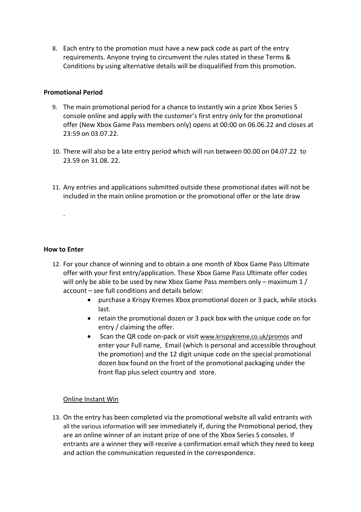8. Each entry to the promotion must have a new pack code as part of the entry requirements. Anyone trying to circumvent the rules stated in these Terms & Conditions by using alternative details will be disqualified from this promotion.

## **Promotional Period**

- 9. The main promotional period for a chance to instantly win a prize Xbox Series S console online and apply with the customer's first entry only for the promotional offer (New Xbox Game Pass members only) opens at 00:00 on 06.06.22 and closes at 23:59 on 03.07.22.
- 10. There will also be a late entry period which will run between 00.00 on 04.07.22 to 23.59 on 31.08. 22.
- 11. Any entries and applications submitted outside these promotional dates will not be included in the main online promotion or the promotional offer or the late draw

# **How to Enter**

.

- 12. For your chance of winning and to obtain a one month of Xbox Game Pass Ultimate offer with your first entry/application. These Xbox Game Pass Ultimate offer codes will only be able to be used by new Xbox Game Pass members only – maximum 1 / account – see full conditions and details below:
	- purchase a Krispy Kremes Xbox promotional dozen or 3 pack, while stocks last.
	- retain the promotional dozen or 3 pack box with the unique code on for entry / claiming the offer.
	- Scan the QR code on-pack or visit [www.krispykreme.co.uk/](http://www.krispykreme.co.uk/)promos and enter your Full name, Email (which is personal and accessible throughout the promotion) and the 12 digit unique code on the special promotional dozen box found on the front of the promotional packaging under the front flap plus select country and store.

### Online Instant Win

13. On the entry has been completed via the promotional website all valid entrants with all the various information will see immediately if, during the Promotional period, they are an online winner of an instant prize of one of the Xbox Series S consoles. If entrants are a winner they will receive a confirmation email which they need to keep and action the communication requested in the correspondence.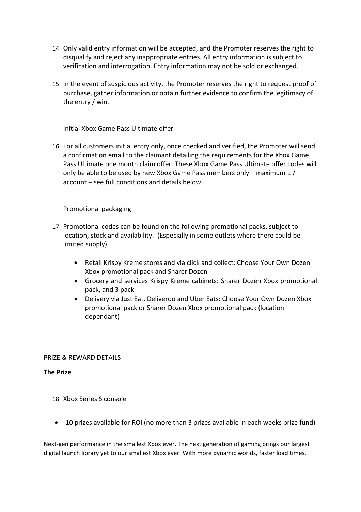- 14. Only valid entry information will be accepted, and the Promoter reserves the right to disqualify and reject any inappropriate entries. All entry information is subject to verification and interrogation. Entry information may not be sold or exchanged.
- 15. In the event of suspicious activity, the Promoter reserves the right to request proof of purchase, gather information or obtain further evidence to confirm the legitimacy of the entry / win.

# Initial Xbox Game Pass Ultimate offer

16. For all customers initial entry only, once checked and verified, the Promoter will send a confirmation email to the claimant detailing the requirements for the Xbox Game Pass Ultimate one month claim offer. These Xbox Game Pass Ultimate offer codes will only be able to be used by new Xbox Game Pass members only – maximum 1 / account – see full conditions and details below

# Promotional packaging

.

- 17. Promotional codes can be found on the following promotional packs, subject to location, stock and availability. (Especially in some outlets where there could be limited supply).
	- Retail Krispy Kreme stores and via click and collect: Choose Your Own Dozen Xbox promotional pack and Sharer Dozen
	- Grocery and services Krispy Kreme cabinets: Sharer Dozen Xbox promotional pack, and 3 pack
	- Delivery via Just Eat, Deliveroo and Uber Eats: Choose Your Own Dozen Xbox promotional pack or Sharer Dozen Xbox promotional pack (location dependant)

### PRIZE & REWARD DETAILS

### **The Prize**

- 18. Xbox Series S console
- 10 prizes available for ROI (no more than 3 prizes available in each weeks prize fund)

Next-gen performance in the smallest Xbox ever. The next generation of gaming brings our largest digital launch library yet to our smallest Xbox ever. With more dynamic worlds, faster load times,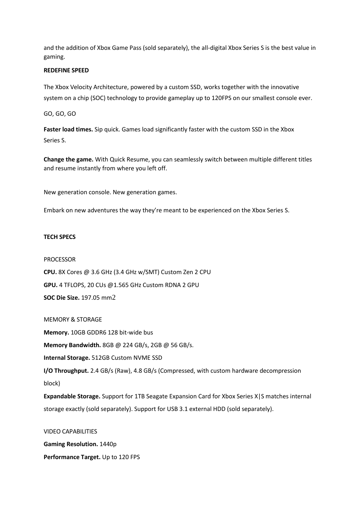and the addition of Xbox Game Pass (sold separately), the all-digital Xbox Series S is the best value in gaming.

#### **REDEFINE SPEED**

The Xbox Velocity Architecture, powered by a custom SSD, works together with the innovative system on a chip (SOC) technology to provide gameplay up to 120FPS on our smallest console ever.

GO, GO, GO

**Faster load times.** Sip quick. Games load significantly faster with the custom SSD in the Xbox Series S.

**Change the game.** With Quick Resume, you can seamlessly switch between multiple different titles and resume instantly from where you left off.

New generation console. New generation games.

Embark on new adventures the way they're meant to be experienced on the Xbox Series S.

#### **TECH SPECS**

#### PROCESSOR

**CPU.** 8X Cores @ 3.6 GHz (3.4 GHz w/SMT) Custom Zen 2 CPU **GPU.** 4 TFLOPS, 20 CUs @1.565 GHz Custom RDNA 2 GPU **SOC Die Size.** 197.05 mm[2](https://www.xbox.com/en-GB/consoles/xbox-series-s#legal2)

MEMORY & STORAGE

**Memory.** 10GB GDDR6 128 bit-wide bus

**Memory Bandwidth.** 8GB @ 224 GB/s, 2GB @ 56 GB/s.

**Internal Storage.** 512GB Custom NVME SSD

**I/O Throughput.** 2.4 GB/s (Raw), 4.8 GB/s (Compressed, with custom hardware decompression block)

**Expandable Storage.** Support for 1TB Seagate Expansion Card for Xbox Series X|S matches internal storage exactly (sold separately). Support for USB 3.1 external HDD (sold separately).

VIDEO CAPABILITIES **Gaming Resolution.** 1440p **Performance Target.** Up to 120 FPS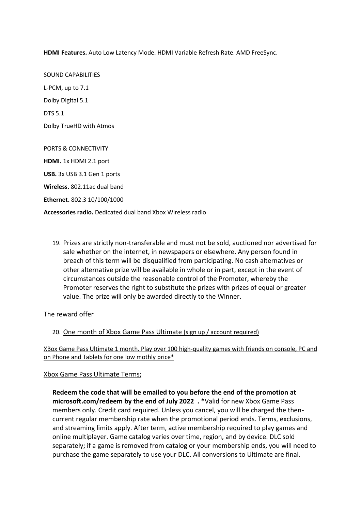**HDMI Features.** Auto Low Latency Mode. HDMI Variable Refresh Rate. AMD FreeSync.

SOUND CAPABILITIES L-PCM, up to 7.1 Dolby Digital 5.1 DTS 5.1 Dolby TrueHD with Atmos PORTS & CONNECTIVITY **HDMI.** 1x HDMI 2.1 port **USB.** 3x USB 3.1 Gen 1 ports **Wireless.** 802.11ac dual band **Ethernet.** 802.3 10/100/1000

**Accessories radio.** Dedicated dual band Xbox Wireless radio

19. Prizes are strictly non-transferable and must not be sold, auctioned nor advertised for sale whether on the internet, in newspapers or elsewhere. Any person found in breach of this term will be disqualified from participating. No cash alternatives or other alternative prize will be available in whole or in part, except in the event of circumstances outside the reasonable control of the Promoter, whereby the Promoter reserves the right to substitute the prizes with prizes of equal or greater value. The prize will only be awarded directly to the Winner.

The reward offer

### 20. One month of Xbox Game Pass Ultimate (sign up / account required)

XBox Game Pass Ultimate 1 month. Play over 100 high-quality games with friends on console, PC and on Phone and Tablets for one low mothly price\*

### Xbox Game Pass Ultimate Terms;

**Redeem the code that will be emailed to you before the end of the promotion at microsoft.com/redeem by the end of July 2022 . \***Valid for new Xbox Game Pass members only. Credit card required. Unless you cancel, you will be charged the thencurrent regular membership rate when the promotional period ends. Terms, exclusions, and streaming limits apply. After term, active membership required to play games and online multiplayer. Game catalog varies over time, region, and by device. DLC sold separately; if a game is removed from catalog or your membership ends, you will need to purchase the game separately to use your DLC. All conversions to Ultimate are final.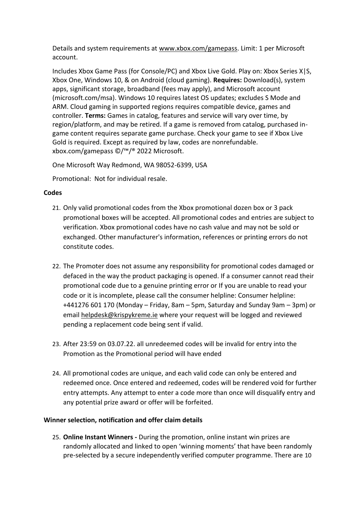Details and system requirements at [www.xbox.com/gamepass.](http://www.xbox.com/gamepass) Limit: 1 per Microsoft account.

Includes Xbox Game Pass (for Console/PC) and Xbox Live Gold. Play on: Xbox Series X|S, Xbox One, Windows 10, & on Android (cloud gaming). **Requires:** Download(s), system apps, significant storage, broadband (fees may apply), and Microsoft account (microsoft.com/msa). Windows 10 requires latest OS updates; excludes S Mode and ARM. Cloud gaming in supported regions requires compatible device, games and controller. **Terms:** Games in catalog, features and service will vary over time, by region/platform, and may be retired. If a game is removed from catalog, purchased ingame content requires separate game purchase. Check your game to see if Xbox Live Gold is required. Except as required by law, codes are nonrefundable. xbox.com/gamepass ©/™/® 2022 Microsoft.

One Microsoft Way Redmond, WA 98052-6399, USA

Promotional: Not for individual resale.

# **Codes**

- 21. Only valid promotional codes from the Xbox promotional dozen box or 3 pack promotional boxes will be accepted. All promotional codes and entries are subject to verification. Xbox promotional codes have no cash value and may not be sold or exchanged. Other manufacturer's information, references or printing errors do not constitute codes.
- 22. The Promoter does not assume any responsibility for promotional codes damaged or defaced in the way the product packaging is opened. If a consumer cannot read their promotional code due to a genuine printing error or If you are unable to read your code or it is incomplete, please call the consumer helpline: Consumer helpline: +441276 601 170 (Monday – Friday, 8am – 5pm, Saturday and Sunday 9am – 3pm) or emai[l helpdesk@krispykreme.ie](mailto:helpdesk@krispykreme.ie) where your request will be logged and reviewed pending a replacement code being sent if valid.
- 23. After 23:59 on 03.07.22. all unredeemed codes will be invalid for entry into the Promotion as the Promotional period will have ended
- 24. All promotional codes are unique, and each valid code can only be entered and redeemed once. Once entered and redeemed, codes will be rendered void for further entry attempts. Any attempt to enter a code more than once will disqualify entry and any potential prize award or offer will be forfeited.

# **Winner selection, notification and offer claim details**

25. **Online Instant Winners -** During the promotion, online instant win prizes are randomly allocated and linked to open 'winning moments' that have been randomly pre-selected by a secure independently verified computer programme. There are 10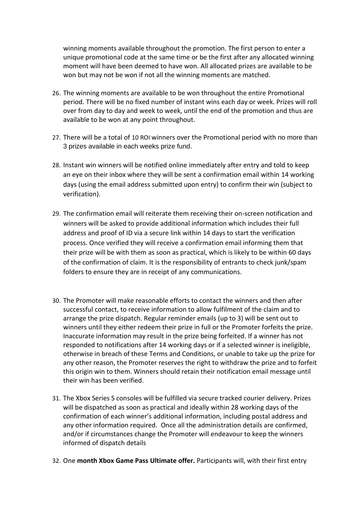winning moments available throughout the promotion. The first person to enter a unique promotional code at the same time or be the first after any allocated winning moment will have been deemed to have won. All allocated prizes are available to be won but may not be won if not all the winning moments are matched.

- 26. The winning moments are available to be won throughout the entire Promotional period. There will be no fixed number of instant wins each day or week. Prizes will roll over from day to day and week to week, until the end of the promotion and thus are available to be won at any point throughout.
- 27. There will be a total of 10 ROI winners over the Promotional period with no more than 3 prizes available in each weeks prize fund.
- 28. Instant win winners will be notified online immediately after entry and told to keep an eye on their inbox where they will be sent a confirmation email within 14 working days (using the email address submitted upon entry) to confirm their win (subject to verification).
- 29. The confirmation email will reiterate them receiving their on-screen notification and winners will be asked to provide additional information which includes their full address and proof of ID via a secure link within 14 days to start the verification process. Once verified they will receive a confirmation email informing them that their prize will be with them as soon as practical, which is likely to be within 60 days of the confirmation of claim. It is the responsibility of entrants to check junk/spam folders to ensure they are in receipt of any communications.
- 30. The Promoter will make reasonable efforts to contact the winners and then after successful contact, to receive information to allow fulfilment of the claim and to arrange the prize dispatch. Regular reminder emails (up to 3) will be sent out to winners until they either redeem their prize in full or the Promoter forfeits the prize. Inaccurate information may result in the prize being forfeited. If a winner has not responded to notifications after 14 working days or if a selected winner is ineligible, otherwise in breach of these Terms and Conditions, or unable to take up the prize for any other reason, the Promoter reserves the right to withdraw the prize and to forfeit this origin win to them. Winners should retain their notification email message until their win has been verified.
- 31. The Xbox Series S consoles will be fulfilled via secure tracked courier delivery. Prizes will be dispatched as soon as practical and ideally within 28 working days of the confirmation of each winner's additional information, including postal address and any other information required. Once all the administration details are confirmed, and/or if circumstances change the Promoter will endeavour to keep the winners informed of dispatch details
- 32. One **month Xbox Game Pass Ultimate offer.** Participants will, with their first entry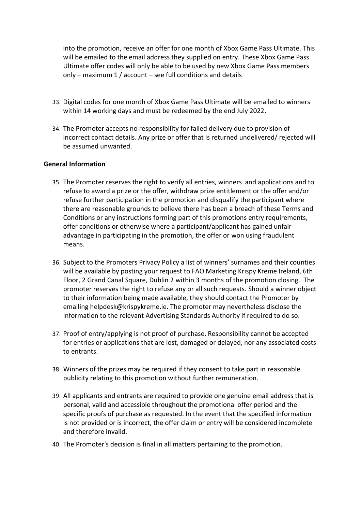into the promotion, receive an offer for one month of Xbox Game Pass Ultimate. This will be emailed to the email address they supplied on entry. These Xbox Game Pass Ultimate offer codes will only be able to be used by new Xbox Game Pass members only – maximum 1 / account – see full conditions and details

- 33. Digital codes for one month of Xbox Game Pass Ultimate will be emailed to winners within 14 working days and must be redeemed by the end July 2022.
- 34. The Promoter accepts no responsibility for failed delivery due to provision of incorrect contact details. Any prize or offer that is returned undelivered/ rejected will be assumed unwanted.

### **General Information**

- 35. The Promoter reserves the right to verify all entries, winners and applications and to refuse to award a prize or the offer, withdraw prize entitlement or the offer and/or refuse further participation in the promotion and disqualify the participant where there are reasonable grounds to believe there has been a breach of these Terms and Conditions or any instructions forming part of this promotions entry requirements, offer conditions or otherwise where a participant/applicant has gained unfair advantage in participating in the promotion, the offer or won using fraudulent means.
- 36. Subject to the Promoters Privacy Policy a list of winners' surnames and their counties will be available by posting your request to FAO Marketing Krispy Kreme Ireland, 6th Floor, 2 Grand Canal Square, Dublin 2 within 3 months of the promotion closing. The promoter reserves the right to refuse any or all such requests. Should a winner object to their information being made available, they should contact the Promoter by emailing [helpdesk@krispykreme.ie.](mailto:helpdesk@krispykreme.ie) The promoter may nevertheless disclose the information to the relevant Advertising Standards Authority if required to do so.
- 37. Proof of entry/applying is not proof of purchase. Responsibility cannot be accepted for entries or applications that are lost, damaged or delayed, nor any associated costs to entrants.
- 38. Winners of the prizes may be required if they consent to take part in reasonable publicity relating to this promotion without further remuneration.
- 39. All applicants and entrants are required to provide one genuine email address that is personal, valid and accessible throughout the promotional offer period and the specific proofs of purchase as requested. In the event that the specified information is not provided or is incorrect, the offer claim or entry will be considered incomplete and therefore invalid.
- 40. The Promoter's decision is final in all matters pertaining to the promotion.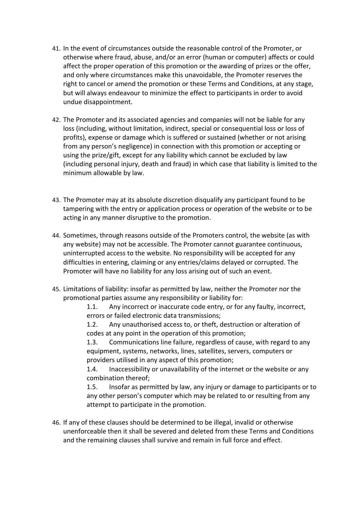- 41. In the event of circumstances outside the reasonable control of the Promoter, or otherwise where fraud, abuse, and/or an error (human or computer) affects or could affect the proper operation of this promotion or the awarding of prizes or the offer, and only where circumstances make this unavoidable, the Promoter reserves the right to cancel or amend the promotion or these Terms and Conditions, at any stage, but will always endeavour to minimize the effect to participants in order to avoid undue disappointment.
- 42. The Promoter and its associated agencies and companies will not be liable for any loss (including, without limitation, indirect, special or consequential loss or loss of profits), expense or damage which is suffered or sustained (whether or not arising from any person's negligence) in connection with this promotion or accepting or using the prize/gift, except for any liability which cannot be excluded by law (including personal injury, death and fraud) in which case that liability is limited to the minimum allowable by law.
- 43. The Promoter may at its absolute discretion disqualify any participant found to be tampering with the entry or application process or operation of the website or to be acting in any manner disruptive to the promotion.
- 44. Sometimes, through reasons outside of the Promoters control, the website (as with any website) may not be accessible. The Promoter cannot guarantee continuous, uninterrupted access to the website. No responsibility will be accepted for any difficulties in entering, claiming or any entries/claims delayed or corrupted. The Promoter will have no liability for any loss arising out of such an event.
- 45. Limitations of liability: insofar as permitted by law, neither the Promoter nor the promotional parties assume any responsibility or liability for:

1.1. Any incorrect or inaccurate code entry, or for any faulty, incorrect, errors or failed electronic data transmissions;

1.2. Any unauthorised access to, or theft, destruction or alteration of codes at any point in the operation of this promotion;

1.3. Communications line failure, regardless of cause, with regard to any equipment, systems, networks, lines, satellites, servers, computers or providers utilised in any aspect of this promotion;

1.4. Inaccessibility or unavailability of the internet or the website or any combination thereof;

1.5. Insofar as permitted by law, any injury or damage to participants or to any other person's computer which may be related to or resulting from any attempt to participate in the promotion.

46. If any of these clauses should be determined to be illegal, invalid or otherwise unenforceable then it shall be severed and deleted from these Terms and Conditions and the remaining clauses shall survive and remain in full force and effect.